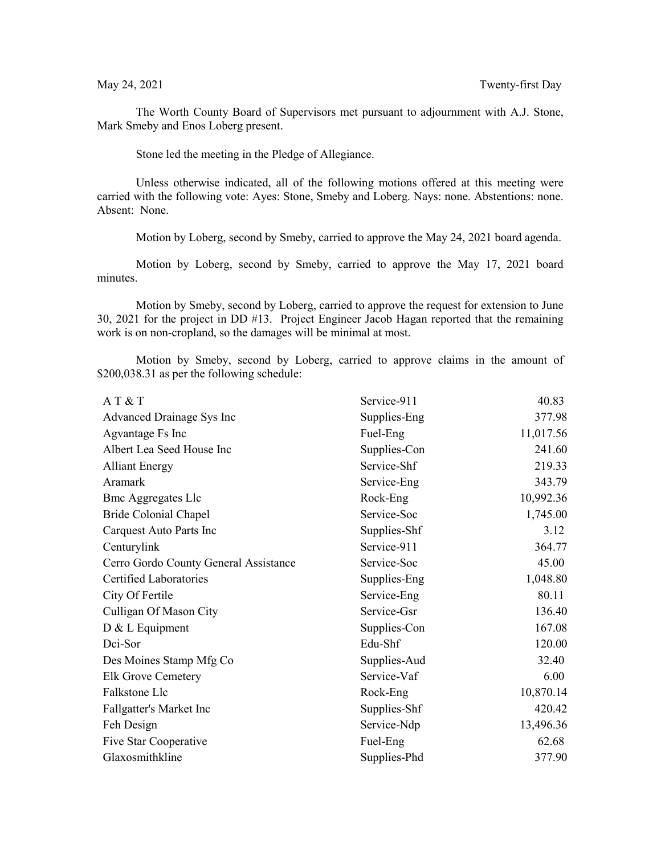The Worth County Board of Supervisors met pursuant to adjournment with A.J. Stone, Mark Smeby and Enos Loberg present.

Stone led the meeting in the Pledge of Allegiance.

Unless otherwise indicated, all of the following motions offered at this meeting were carried with the following vote: Ayes: Stone, Smeby and Loberg. Nays: none. Abstentions: none. Absent: None.

Motion by Loberg, second by Smeby, carried to approve the May 24, 2021 board agenda.

Motion by Loberg, second by Smeby, carried to approve the May 17, 2021 board minutes.

Motion by Smeby, second by Loberg, carried to approve the request for extension to June 30, 2021 for the project in DD #13. Project Engineer Jacob Hagan reported that the remaining work is on non-cropland, so the damages will be minimal at most.

Motion by Smeby, second by Loberg, carried to approve claims in the amount of \$200,038.31 as per the following schedule:

| AT&T                                  | Service-911  | 40.83     |
|---------------------------------------|--------------|-----------|
| Advanced Drainage Sys Inc             | Supplies-Eng | 377.98    |
| Agvantage Fs Inc                      | Fuel-Eng     | 11,017.56 |
| Albert Lea Seed House Inc             | Supplies-Con | 241.60    |
| <b>Alliant Energy</b>                 | Service-Shf  | 219.33    |
| Aramark                               | Service-Eng  | 343.79    |
| <b>Bmc Aggregates Llc</b>             | Rock-Eng     | 10,992.36 |
| Bride Colonial Chapel                 | Service-Soc  | 1,745.00  |
| Carquest Auto Parts Inc               | Supplies-Shf | 3.12      |
| Centurylink                           | Service-911  | 364.77    |
| Cerro Gordo County General Assistance | Service-Soc  | 45.00     |
| Certified Laboratories                | Supplies-Eng | 1,048.80  |
| City Of Fertile                       | Service-Eng  | 80.11     |
| Culligan Of Mason City                | Service-Gsr  | 136.40    |
| D & L Equipment                       | Supplies-Con | 167.08    |
| Dci-Sor                               | Edu-Shf      | 120.00    |
| Des Moines Stamp Mfg Co               | Supplies-Aud | 32.40     |
| <b>Elk Grove Cemetery</b>             | Service-Vaf  | 6.00      |
| Falkstone Llc                         | Rock-Eng     | 10,870.14 |
| Fallgatter's Market Inc               | Supplies-Shf | 420.42    |
| Feh Design                            | Service-Ndp  | 13,496.36 |
| Five Star Cooperative                 | Fuel-Eng     | 62.68     |
| Glaxosmithkline                       | Supplies-Phd | 377.90    |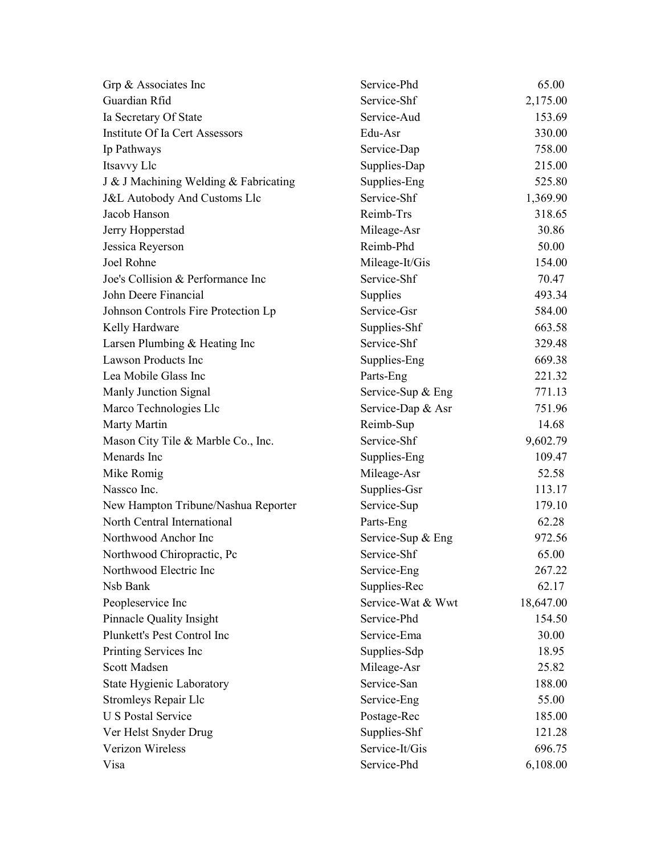| Grp & Associates Inc                    | Service-Phd       | 65.00     |
|-----------------------------------------|-------------------|-----------|
| Guardian Rfid                           | Service-Shf       | 2,175.00  |
| Ia Secretary Of State                   | Service-Aud       | 153.69    |
| Institute Of Ia Cert Assessors          | Edu-Asr           | 330.00    |
| Ip Pathways                             | Service-Dap       | 758.00    |
| Itsavvy Llc                             | Supplies-Dap      | 215.00    |
| J & J Machining Welding & Fabricating   | Supplies-Eng      | 525.80    |
| <b>J&amp;L Autobody And Customs Llc</b> | Service-Shf       | 1,369.90  |
| Jacob Hanson                            | Reimb-Trs         | 318.65    |
| Jerry Hopperstad                        | Mileage-Asr       | 30.86     |
| Jessica Reyerson                        | Reimb-Phd         | 50.00     |
| Joel Rohne                              | Mileage-It/Gis    | 154.00    |
| Joe's Collision & Performance Inc       | Service-Shf       | 70.47     |
| John Deere Financial                    | Supplies          | 493.34    |
| Johnson Controls Fire Protection Lp     | Service-Gsr       | 584.00    |
| Kelly Hardware                          | Supplies-Shf      | 663.58    |
| Larsen Plumbing & Heating Inc           | Service-Shf       | 329.48    |
| Lawson Products Inc                     | Supplies-Eng      | 669.38    |
| Lea Mobile Glass Inc                    | Parts-Eng         | 221.32    |
| Manly Junction Signal                   | Service-Sup & Eng | 771.13    |
| Marco Technologies Llc                  | Service-Dap & Asr | 751.96    |
| Marty Martin                            | Reimb-Sup         | 14.68     |
| Mason City Tile & Marble Co., Inc.      | Service-Shf       | 9,602.79  |
| Menards Inc                             | Supplies-Eng      | 109.47    |
| Mike Romig                              | Mileage-Asr       | 52.58     |
| Nassco Inc.                             | Supplies-Gsr      | 113.17    |
| New Hampton Tribune/Nashua Reporter     | Service-Sup       | 179.10    |
| North Central International             | Parts-Eng         | 62.28     |
| Northwood Anchor Inc                    | Service-Sup & Eng | 972.56    |
| Northwood Chiropractic, Pc              | Service-Shf       | 65.00     |
| Northwood Electric Inc                  | Service-Eng       | 267.22    |
| Nsb Bank                                | Supplies-Rec      | 62.17     |
| Peopleservice Inc                       | Service-Wat & Wwt | 18,647.00 |
| Pinnacle Quality Insight                | Service-Phd       | 154.50    |
| Plunkett's Pest Control Inc             | Service-Ema       | 30.00     |
| Printing Services Inc                   | Supplies-Sdp      | 18.95     |
| <b>Scott Madsen</b>                     | Mileage-Asr       | 25.82     |
| <b>State Hygienic Laboratory</b>        | Service-San       | 188.00    |
| Stromleys Repair Llc                    | Service-Eng       | 55.00     |
| <b>U S Postal Service</b>               | Postage-Rec       | 185.00    |
| Ver Helst Snyder Drug                   | Supplies-Shf      | 121.28    |
| Verizon Wireless                        | Service-It/Gis    | 696.75    |
| Visa                                    | Service-Phd       | 6,108.00  |